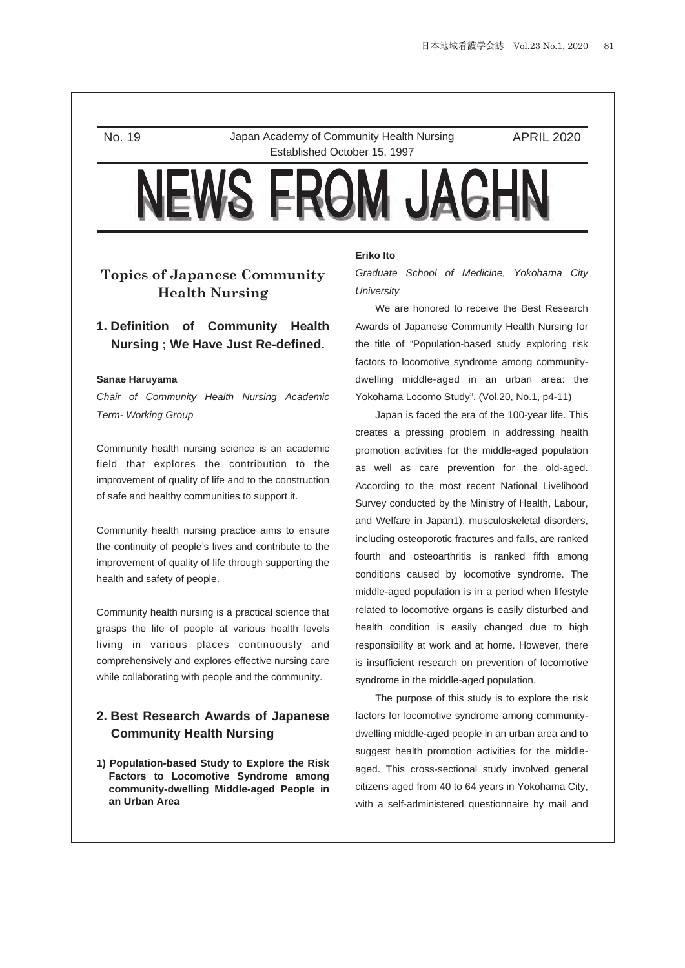No. 19 Japan Academy of Community Health Nursing Established October 15, 1997

APRIL 2020

# **Topics of Japanese Community Health Nursing**

# **1. Definition of Community Health Nursing ; We Have Just Re-defined.**

#### **Sanae Haruyama**

*Chair of Community Health Nursing Academic Term- Working Group*

Community health nursing science is an academic field that explores the contribution to the improvement of quality of life and to the construction of safe and healthy communities to support it.

Community health nursing practice aims to ensure the continuity of people's lives and contribute to the improvement of quality of life through supporting the health and safety of people.

Community health nursing is a practical science that grasps the life of people at various health levels living in various places continuously and comprehensively and explores effective nursing care while collaborating with people and the community.

## **2. Best Research Awards of Japanese Community Health Nursing**

**1) Population-based Study to Explore the Risk Factors to Locomotive Syndrome among community-dwelling Middle-aged People in an Urban Area**

#### **Eriko Ito**

*Graduate School of Medicine, Yokohama City University*

We are honored to receive the Best Research Awards of Japanese Community Health Nursing for the title of "Population-based study exploring risk factors to locomotive syndrome among communitydwelling middle-aged in an urban area: the Yokohama Locomo Study". (Vol.20, No.1, p4-11)

Japan is faced the era of the 100-year life. This creates a pressing problem in addressing health promotion activities for the middle-aged population as well as care prevention for the old-aged. According to the most recent National Livelihood Survey conducted by the Ministry of Health, Labour, and Welfare in Japan1), musculoskeletal disorders, including osteoporotic fractures and falls, are ranked fourth and osteoarthritis is ranked fifth among conditions caused by locomotive syndrome. The middle-aged population is in a period when lifestyle related to locomotive organs is easily disturbed and health condition is easily changed due to high responsibility at work and at home. However, there is insufficient research on prevention of locomotive syndrome in the middle-aged population.

The purpose of this study is to explore the risk factors for locomotive syndrome among communitydwelling middle-aged people in an urban area and to suggest health promotion activities for the middleaged. This cross-sectional study involved general citizens aged from 40 to 64 years in Yokohama City, with a self-administered questionnaire by mail and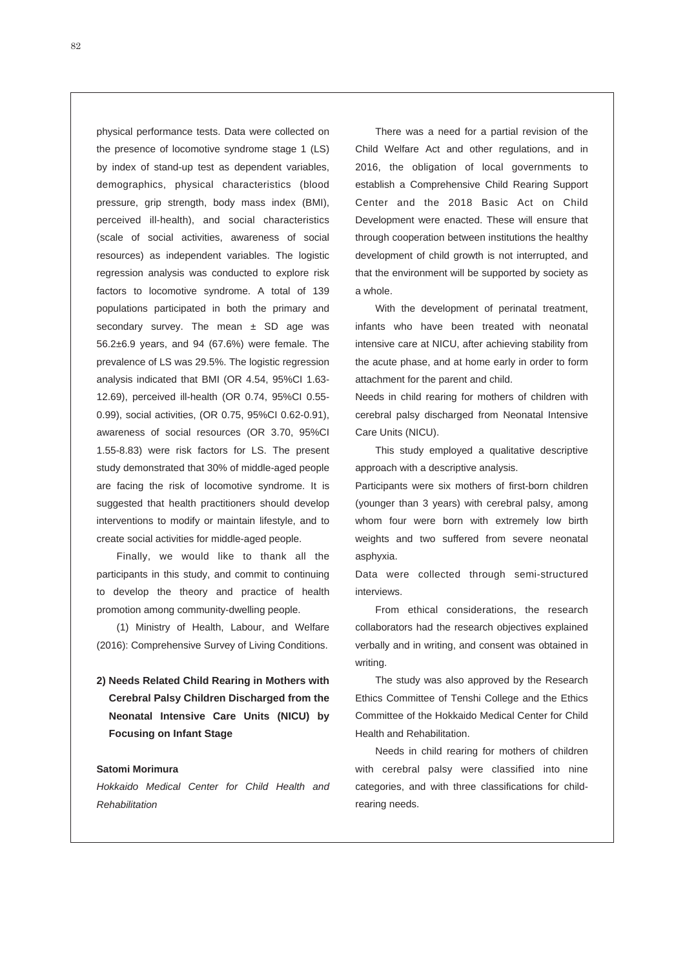physical performance tests. Data were collected on the presence of locomotive syndrome stage 1 (LS) by index of stand-up test as dependent variables, demographics, physical characteristics (blood pressure, grip strength, body mass index (BMI), perceived ill-health), and social characteristics (scale of social activities, awareness of social resources) as independent variables. The logistic regression analysis was conducted to explore risk factors to locomotive syndrome. A total of 139 populations participated in both the primary and secondary survey. The mean  $\pm$  SD age was 56.2±6.9 years, and 94 (67.6%) were female. The prevalence of LS was 29.5%. The logistic regression analysis indicated that BMI (OR 4.54, 95%CI 1.63- 12.69), perceived ill-health (OR 0.74, 95%CI 0.55- 0.99), social activities, (OR 0.75, 95%CI 0.62-0.91), awareness of social resources (OR 3.70, 95%CI 1.55-8.83) were risk factors for LS. The present study demonstrated that 30% of middle-aged people are facing the risk of locomotive syndrome. It is suggested that health practitioners should develop interventions to modify or maintain lifestyle, and to create social activities for middle-aged people.

Finally, we would like to thank all the participants in this study, and commit to continuing to develop the theory and practice of health promotion among community-dwelling people.

(1) Ministry of Health, Labour, and Welfare (2016): Comprehensive Survey of Living Conditions.

**2) Needs Related Child Rearing in Mothers with Cerebral Palsy Children Discharged from the Neonatal Intensive Care Units (NICU) by Focusing on Infant Stage**

#### **Satomi Morimura**

*Hokkaido Medical Center for Child Health and Rehabilitation*

There was a need for a partial revision of the Child Welfare Act and other regulations, and in 2016, the obligation of local governments to establish a Comprehensive Child Rearing Support Center and the 2018 Basic Act on Child Development were enacted. These will ensure that through cooperation between institutions the healthy development of child growth is not interrupted, and that the environment will be supported by society as a whole.

With the development of perinatal treatment, infants who have been treated with neonatal intensive care at NICU, after achieving stability from the acute phase, and at home early in order to form attachment for the parent and child.

Needs in child rearing for mothers of children with cerebral palsy discharged from Neonatal Intensive Care Units (NICU).

This study employed a qualitative descriptive approach with a descriptive analysis.

Participants were six mothers of first-born children (younger than 3 years) with cerebral palsy, among whom four were born with extremely low birth weights and two suffered from severe neonatal asphyxia.

Data were collected through semi-structured interviews

From ethical considerations, the research collaborators had the research objectives explained verbally and in writing, and consent was obtained in writing.

The study was also approved by the Research Ethics Committee of Tenshi College and the Ethics Committee of the Hokkaido Medical Center for Child Health and Rehabilitation.

Needs in child rearing for mothers of children with cerebral palsy were classified into nine categories, and with three classifications for childrearing needs.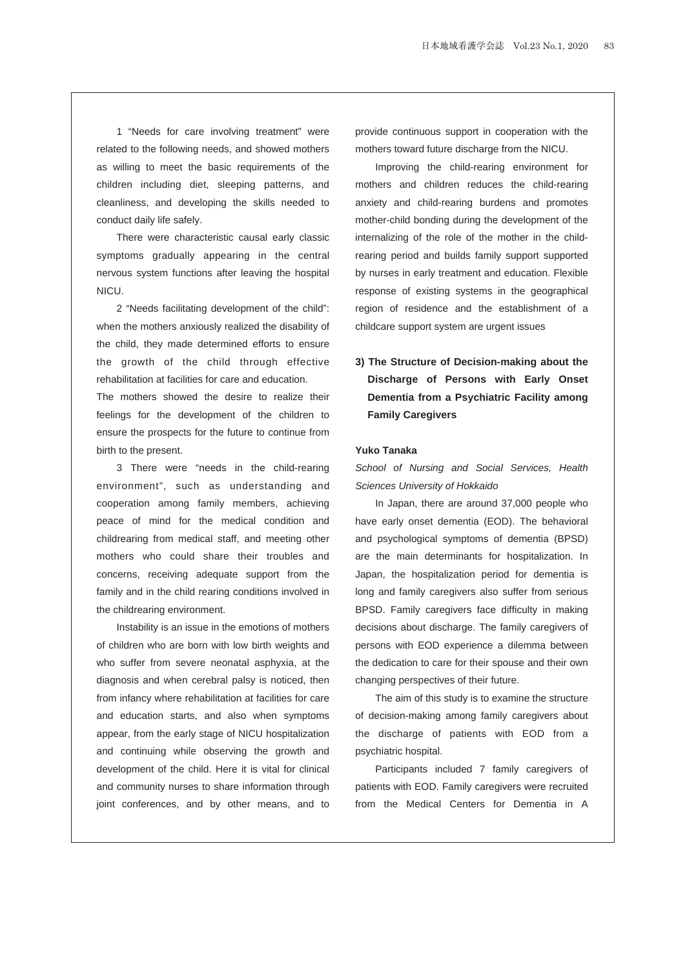1 "Needs for care involving treatment" were related to the following needs, and showed mothers as willing to meet the basic requirements of the children including diet, sleeping patterns, and cleanliness, and developing the skills needed to conduct daily life safely.

There were characteristic causal early classic symptoms gradually appearing in the central nervous system functions after leaving the hospital NICU.

2 "Needs facilitating development of the child": when the mothers anxiously realized the disability of the child, they made determined efforts to ensure the growth of the child through effective rehabilitation at facilities for care and education.

The mothers showed the desire to realize their feelings for the development of the children to ensure the prospects for the future to continue from birth to the present.

3 There were "needs in the child-rearing environment", such as understanding and cooperation among family members, achieving peace of mind for the medical condition and childrearing from medical staff, and meeting other mothers who could share their troubles and concerns, receiving adequate support from the family and in the child rearing conditions involved in the childrearing environment.

Instability is an issue in the emotions of mothers of children who are born with low birth weights and who suffer from severe neonatal asphyxia, at the diagnosis and when cerebral palsy is noticed, then from infancy where rehabilitation at facilities for care and education starts, and also when symptoms appear, from the early stage of NICU hospitalization and continuing while observing the growth and development of the child. Here it is vital for clinical and community nurses to share information through joint conferences, and by other means, and to provide continuous support in cooperation with the mothers toward future discharge from the NICU.

Improving the child-rearing environment for mothers and children reduces the child-rearing anxiety and child-rearing burdens and promotes mother-child bonding during the development of the internalizing of the role of the mother in the childrearing period and builds family support supported by nurses in early treatment and education. Flexible response of existing systems in the geographical region of residence and the establishment of a childcare support system are urgent issues

**3) The Structure of Decision-making about the Discharge of Persons with Early Onset Dementia from a Psychiatric Facility among Family Caregivers**

#### **Yuko Tanaka**

*School of Nursing and Social Services, Health Sciences University of Hokkaido*

In Japan, there are around 37,000 people who have early onset dementia (EOD). The behavioral and psychological symptoms of dementia (BPSD) are the main determinants for hospitalization. In Japan, the hospitalization period for dementia is long and family caregivers also suffer from serious BPSD. Family caregivers face difficulty in making decisions about discharge. The family caregivers of persons with EOD experience a dilemma between the dedication to care for their spouse and their own changing perspectives of their future.

The aim of this study is to examine the structure of decision-making among family caregivers about the discharge of patients with EOD from a psychiatric hospital.

Participants included 7 family caregivers of patients with EOD. Family caregivers were recruited from the Medical Centers for Dementia in A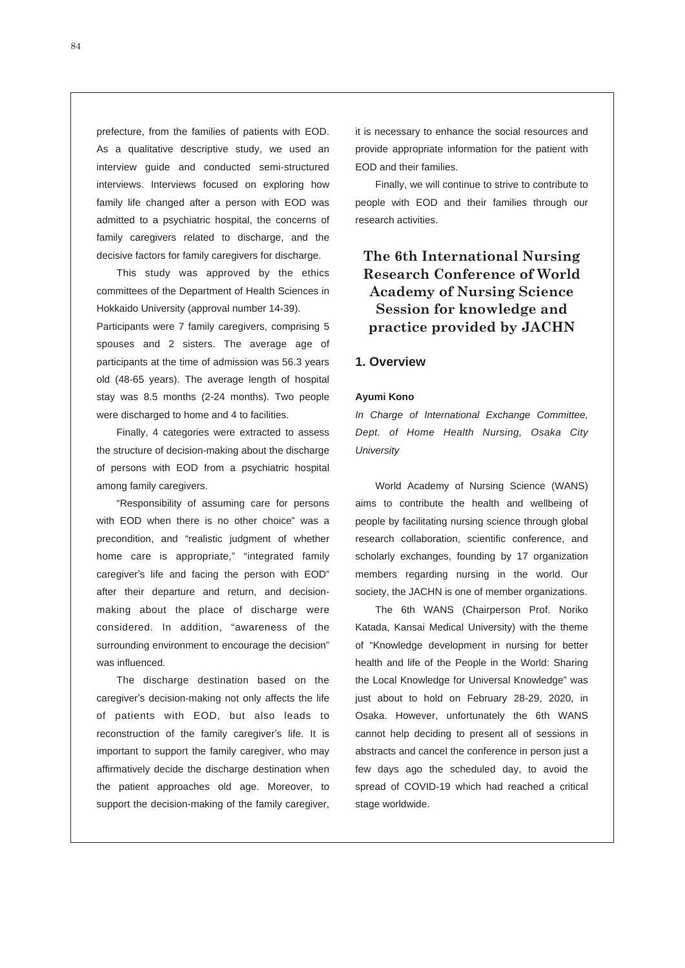prefecture, from the families of patients with EOD. As a qualitative descriptive study, we used an interview guide and conducted semi-structured interviews. Interviews focused on exploring how family life changed after a person with EOD was admitted to a psychiatric hospital, the concerns of family caregivers related to discharge, and the decisive factors for family caregivers for discharge.

This study was approved by the ethics committees of the Department of Health Sciences in Hokkaido University (approval number 14-39).

Participants were 7 family caregivers, comprising 5 spouses and 2 sisters. The average age of participants at the time of admission was 56.3 years old (48-65 years). The average length of hospital stay was 8.5 months (2-24 months). Two people were discharged to home and 4 to facilities.

Finally, 4 categories were extracted to assess the structure of decision-making about the discharge of persons with EOD from a psychiatric hospital among family caregivers.

"Responsibility of assuming care for persons with EOD when there is no other choice" was a precondition, and "realistic judgment of whether home care is appropriate," "integrated family caregiver's life and facing the person with EOD" after their departure and return, and decisionmaking about the place of discharge were considered. In addition, "awareness of the surrounding environment to encourage the decision" was influenced.

The discharge destination based on the caregiver's decision-making not only affects the life of patients with EOD, but also leads to reconstruction of the family caregiver's life. It is important to support the family caregiver, who may affirmatively decide the discharge destination when the patient approaches old age. Moreover, to support the decision-making of the family caregiver, it is necessary to enhance the social resources and provide appropriate information for the patient with EOD and their families.

Finally, we will continue to strive to contribute to people with EOD and their families through our research activities.

# **The 6th International Nursing Research Conference of World Academy of Nursing Science Session for knowledge and practice provided by JACHN**

### **1. Overview**

#### **Ayumi Kono**

*In Charge of International Exchange Committee, Dept. of Home Health Nursing, Osaka City University* 

World Academy of Nursing Science (WANS) aims to contribute the health and wellbeing of people by facilitating nursing science through global research collaboration, scientific conference, and scholarly exchanges, founding by 17 organization members regarding nursing in the world. Our society, the JACHN is one of member organizations.

The 6th WANS (Chairperson Prof. Noriko Katada, Kansai Medical University) with the theme of "Knowledge development in nursing for better health and life of the People in the World: Sharing the Local Knowledge for Universal Knowledge" was just about to hold on February 28-29, 2020, in Osaka. However, unfortunately the 6th WANS cannot help deciding to present all of sessions in abstracts and cancel the conference in person just a few days ago the scheduled day, to avoid the spread of COVID-19 which had reached a critical stage worldwide.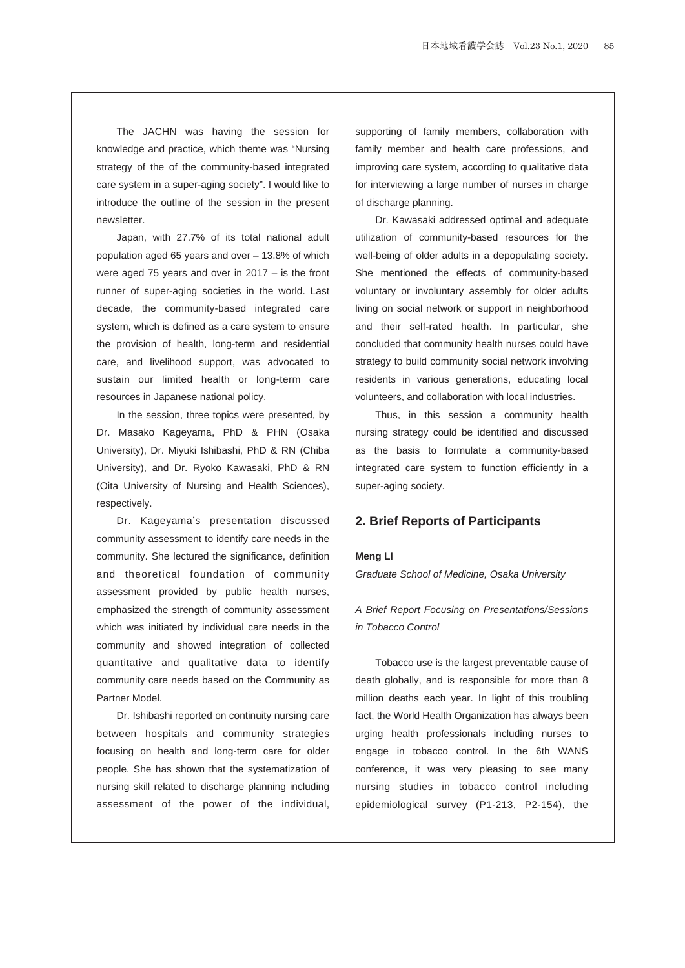The JACHN was having the session for knowledge and practice, which theme was "Nursing strategy of the of the community-based integrated care system in a super-aging society". I would like to introduce the outline of the session in the present newsletter.

Japan, with 27.7% of its total national adult population aged 65 years and over – 13.8% of which were aged 75 years and over in 2017 – is the front runner of super-aging societies in the world. Last decade, the community-based integrated care system, which is defined as a care system to ensure the provision of health, long-term and residential care, and livelihood support, was advocated to sustain our limited health or long-term care resources in Japanese national policy.

In the session, three topics were presented, by Dr. Masako Kageyama, PhD & PHN (Osaka University), Dr. Miyuki Ishibashi, PhD & RN (Chiba University), and Dr. Ryoko Kawasaki, PhD & RN (Oita University of Nursing and Health Sciences), respectively.

Dr. Kageyama's presentation discussed community assessment to identify care needs in the community. She lectured the significance, definition and theoretical foundation of community assessment provided by public health nurses, emphasized the strength of community assessment which was initiated by individual care needs in the community and showed integration of collected quantitative and qualitative data to identify community care needs based on the Community as Partner Model.

Dr. Ishibashi reported on continuity nursing care between hospitals and community strategies focusing on health and long-term care for older people. She has shown that the systematization of nursing skill related to discharge planning including assessment of the power of the individual, supporting of family members, collaboration with family member and health care professions, and improving care system, according to qualitative data for interviewing a large number of nurses in charge of discharge planning.

Dr. Kawasaki addressed optimal and adequate utilization of community-based resources for the well-being of older adults in a depopulating society. She mentioned the effects of community-based voluntary or involuntary assembly for older adults living on social network or support in neighborhood and their self-rated health. In particular, she concluded that community health nurses could have strategy to build community social network involving residents in various generations, educating local volunteers, and collaboration with local industries.

Thus, in this session a community health nursing strategy could be identified and discussed as the basis to formulate a community-based integrated care system to function efficiently in a super-aging society.

### **2. Brief Reports of Participants**

#### **Meng LI**

*Graduate School of Medicine, Osaka University* 

## *A Brief Report Focusing on Presentations/Sessions in Tobacco Control*

Tobacco use is the largest preventable cause of death globally, and is responsible for more than 8 million deaths each year. In light of this troubling fact, the World Health Organization has always been urging health professionals including nurses to engage in tobacco control. In the 6th WANS conference, it was very pleasing to see many nursing studies in tobacco control including epidemiological survey (P1-213, P2-154), the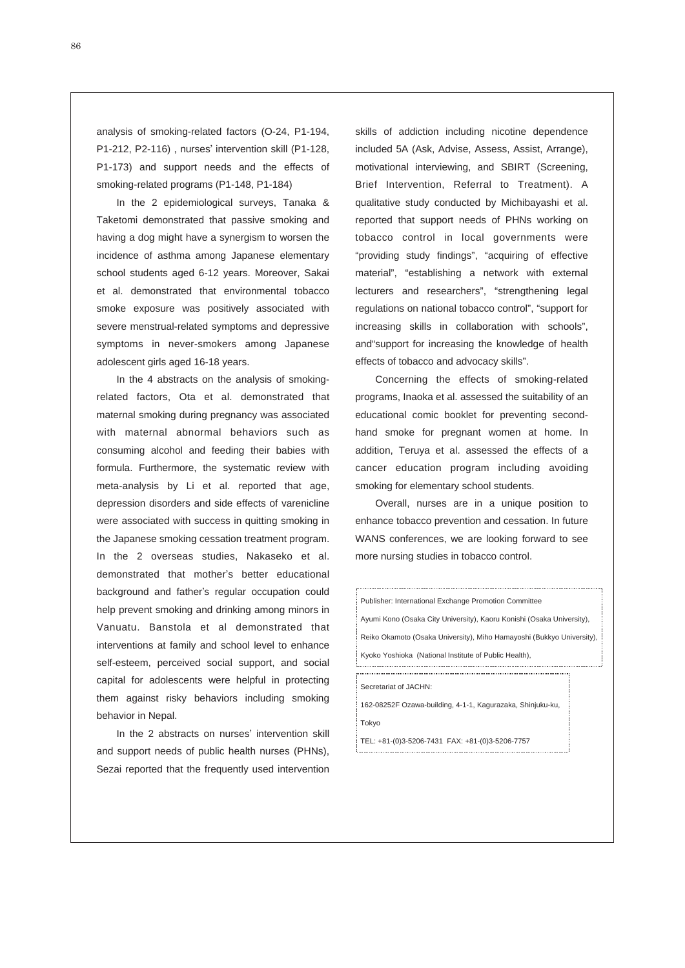analysis of smoking-related factors (O-24, P1-194, P1-212, P2-116) , nurses' intervention skill (P1-128, P1-173) and support needs and the effects of smoking-related programs (P1-148, P1-184)

In the 2 epidemiological surveys, Tanaka & Taketomi demonstrated that passive smoking and having a dog might have a synergism to worsen the incidence of asthma among Japanese elementary school students aged 6-12 years. Moreover, Sakai et al. demonstrated that environmental tobacco smoke exposure was positively associated with severe menstrual-related symptoms and depressive symptoms in never-smokers among Japanese adolescent girls aged 16-18 years.

In the 4 abstracts on the analysis of smokingrelated factors, Ota et al. demonstrated that maternal smoking during pregnancy was associated with maternal abnormal behaviors such as consuming alcohol and feeding their babies with formula. Furthermore, the systematic review with meta-analysis by Li et al. reported that age, depression disorders and side effects of varenicline were associated with success in quitting smoking in the Japanese smoking cessation treatment program. In the 2 overseas studies, Nakaseko et al. demonstrated that mother's better educational background and father's regular occupation could help prevent smoking and drinking among minors in Vanuatu. Banstola et al demonstrated that interventions at family and school level to enhance self-esteem, perceived social support, and social capital for adolescents were helpful in protecting them against risky behaviors including smoking behavior in Nepal.

In the 2 abstracts on nurses' intervention skill and support needs of public health nurses (PHNs), Sezai reported that the frequently used intervention skills of addiction including nicotine dependence included 5A (Ask, Advise, Assess, Assist, Arrange), motivational interviewing, and SBIRT (Screening, Brief Intervention, Referral to Treatment). A qualitative study conducted by Michibayashi et al. reported that support needs of PHNs working on tobacco control in local governments were "providing study findings", "acquiring of effective material", "establishing a network with external lecturers and researchers", "strengthening legal regulations on national tobacco control", "support for **The 23** increasing skills in collaboration with schools", and"support for increasing the knowledge of health **indicalled** effects of tobacco and advocacy skills".

Concerning the effects of smoking-related programs, Inaoka et al. assessed the suitability of an **complet of Home Health Nursing** educational comic booklet for preventing second-**Program** : hand smoke for pregnant women at home. In addition, Teruya et al. assessed the effects of a cancer education program including avoiding ◆Special lecture: Ryo Yamazaki (studio-L Inc.), Ayumi Shintani (Graduate School of Medicine, smoking for elementary school students.

Overall, nurses are in a unique position to **Appointed Workshop** enhance tobacco prevention and cessation. In future WANS conferences, we are looking forward to see more nursing studies in tobacco control.

Publisher: International Exchange Promotion Committee Ayumi Kono (Osaka City University), Kaoru Konishi (Osaka University), Reiko Okamoto (Osaka University), Miho Hamayoshi (Bukkyo University), Kyoko Yoshioka (National Institute of Public Health),

Secretariat of JACHN:

162-08252F Ozawa-building, 4-1-1, Kagurazaka, Shinjuku-ku, Tokyo

TEL: +81-(0)3-5206-7431 FAX: +81-(0)3-5206-7757